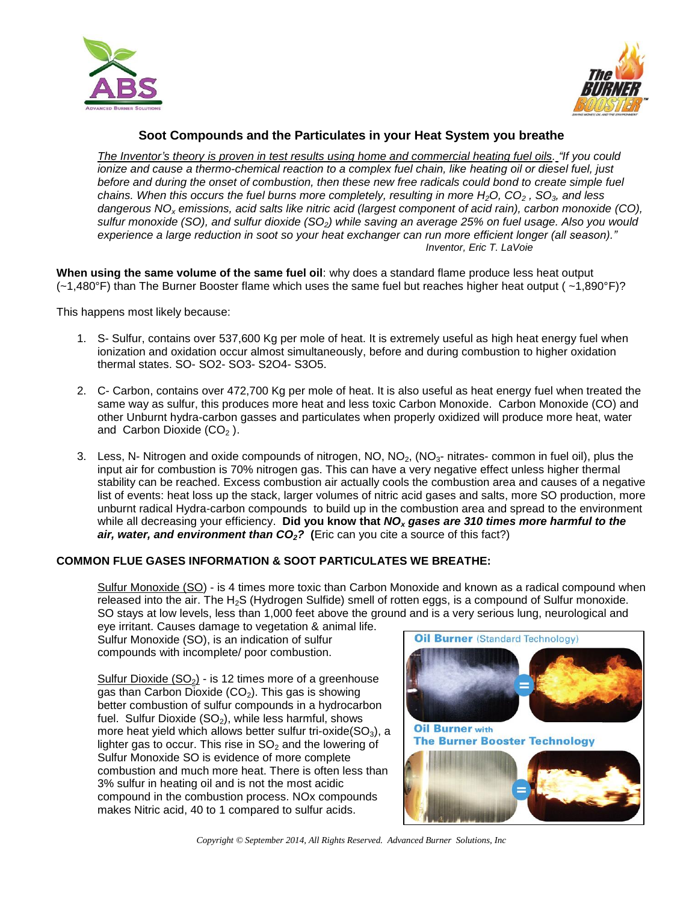



## **Soot Compounds and the Particulates in your Heat System you breathe**

*The Inventor's theory is proven in test results using home and commercial heating fuel oils. "If you could ionize and cause a thermo-chemical reaction to a complex fuel chain, like heating oil or diesel fuel, just*  before and during the onset of combustion, then these new free radicals could bond to create simple fuel *chains. When this occurs the fuel burns more completely, resulting in more H2O, CO<sup>2</sup> , SO3, and less dangerous NO<sup>x</sup> emissions, acid salts like nitric acid (largest component of acid rain), carbon monoxide (CO), sulfur monoxide (SO), and sulfur dioxide (SO2) while saving an average 25% on fuel usage. Also you would experience a large reduction in soot so your heat exchanger can run more efficient longer (all season)." Inventor, Eric T. LaVoie*

**When using the same volume of the same fuel oil**: why does a standard flame produce less heat output (~1,480°F) than The Burner Booster flame which uses the same fuel but reaches higher heat output ( ~1,890°F)?

This happens most likely because:

- 1. S- Sulfur, contains over 537,600 Kg per mole of heat. It is extremely useful as high heat energy fuel when ionization and oxidation occur almost simultaneously, before and during combustion to higher oxidation thermal states. SO- SO2- SO3- S2O4- S3O5.
- 2. C- Carbon, contains over 472,700 Kg per mole of heat. It is also useful as heat energy fuel when treated the same way as sulfur, this produces more heat and less toxic Carbon Monoxide. Carbon Monoxide (CO) and other Unburnt hydra-carbon gasses and particulates when properly oxidized will produce more heat, water and Carbon Dioxide  $(CO<sub>2</sub>)$ .
- 3. Less, N- Nitrogen and oxide compounds of nitrogen, NO,  $NO<sub>2</sub>$ , (NO<sub>3</sub>- nitrates- common in fuel oil), plus the input air for combustion is 70% nitrogen gas. This can have a very negative effect unless higher thermal stability can be reached. Excess combustion air actually cools the combustion area and causes of a negative list of events: heat loss up the stack, larger volumes of nitric acid gases and salts, more SO production, more unburnt radical Hydra-carbon compounds to build up in the combustion area and spread to the environment while all decreasing your efficiency. **Did you know that** *NO<sup>x</sup> gases are 310 times more harmful to the air, water, and environment than CO2?* **(**Eric can you cite a source of this fact?)

## **COMMON FLUE GASES INFORMATION & SOOT PARTICULATES WE BREATHE:**

Sulfur Monoxide (SO) - is 4 times more toxic than Carbon Monoxide and known as a radical compound when released into the air. The  $H_2S$  (Hydrogen Sulfide) smell of rotten eggs, is a compound of Sulfur monoxide. SO stays at low levels, less than 1,000 feet above the ground and is a very serious lung, neurological and

eye irritant. Causes damage to vegetation & animal life. Sulfur Monoxide (SO), is an indication of sulfur compounds with incomplete/ poor combustion.

Sulfur Dioxide  $(SO<sub>2</sub>)$  - is 12 times more of a greenhouse gas than Carbon Dioxide  $(CO<sub>2</sub>)$ . This gas is showing better combustion of sulfur compounds in a hydrocarbon fuel. Sulfur Dioxide  $(SO<sub>2</sub>)$ , while less harmful, shows more heat yield which allows better sulfur tri-oxide( $SO<sub>3</sub>$ ), a lighter gas to occur. This rise in  $SO<sub>2</sub>$  and the lowering of Sulfur Monoxide SO is evidence of more complete combustion and much more heat. There is often less than 3% sulfur in heating oil and is not the most acidic compound in the combustion process. NOx compounds makes Nitric acid, 40 to 1 compared to sulfur acids.



*Copyright © September 2014, All Rights Reserved. Advanced Burner Solutions, Inc*